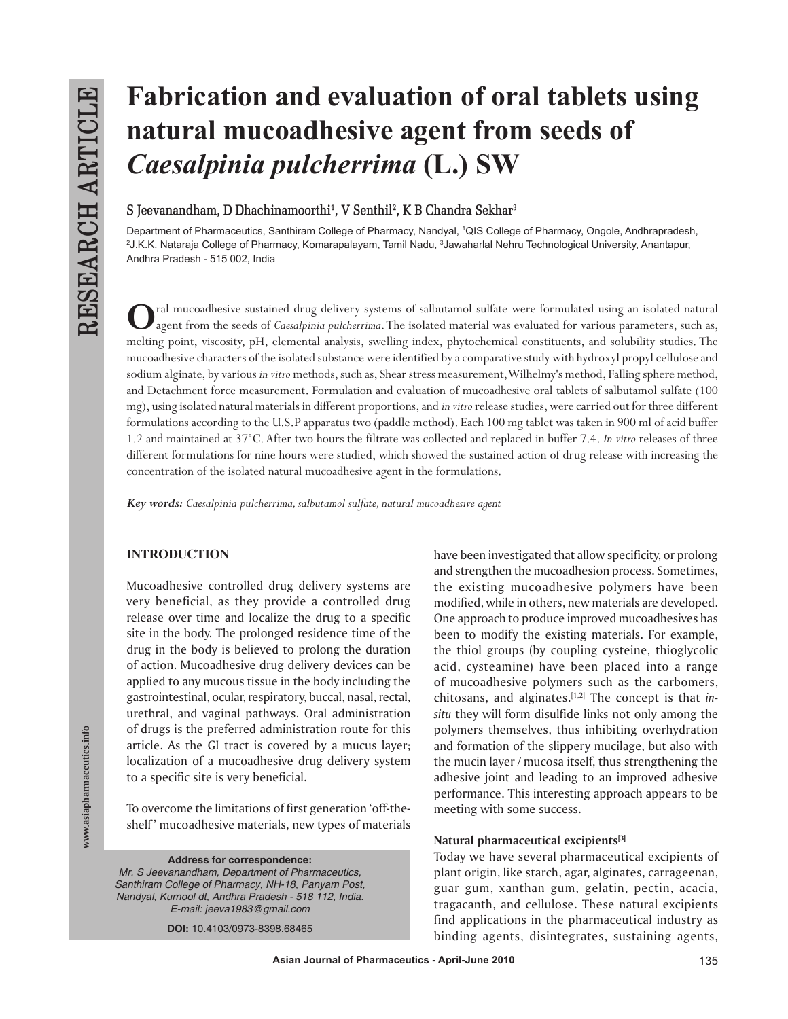# **Fabrication and evaluation of oral tablets using natural mucoadhesive agent from seeds of**  *Caesalpinia pulcherrima* **(L.) SW**

 $S$  Jeevanandham, D Dhachinamoorthi<sup>1</sup>, V Senthil<sup>2</sup>, K B Chandra Sekhar<sup>3</sup>

Department of Pharmaceutics, Santhiram College of Pharmacy, Nandyal, 1 QIS College of Pharmacy, Ongole, Andhrapradesh, 2 J.K.K. Nataraja College of Pharmacy, Komarapalayam, Tamil Nadu, 3 Jawaharlal Nehru Technological University, Anantapur, Andhra Pradesh - 515 002, India

Cal mucoadhesive sustained drug delivery systems of salbutamol sulfate were formulated using an isolated natural<br>agent from the seeds of *Caesalpinia pulcherrima*. The isolated material was evaluated for various parameters melting point, viscosity, pH, elemental analysis, swelling index, phytochemical constituents, and solubility studies. The mucoadhesive characters of the isolated substance were identified by a comparative study with hydroxyl propyl cellulose and sodium alginate, by various *in vitro* methods, such as, Shear stress measurement, Wilhelmy's method, Falling sphere method, and Detachment force measurement. Formulation and evaluation of mucoadhesive oral tablets of salbutamol sulfate (100 mg), using isolated natural materials in different proportions, and *in vitro* release studies, were carried out for three different formulations according to the U.S.P apparatus two (paddle method). Each 100 mg tablet was taken in 900 ml of acid buffer 1.2 and maintained at 37˚C. After two hours the filtrate was collected and replaced in buffer 7.4. *In vitro* releases of three different formulations for nine hours were studied, which showed the sustained action of drug release with increasing the concentration of the isolated natural mucoadhesive agent in the formulations.

*Key words: Caesalpinia pulcherrima, salbutamol sulfate, natural mucoadhesive agent*

# **INTRODUCTION**

Mucoadhesive controlled drug delivery systems are very beneficial, as they provide a controlled drug release over time and localize the drug to a specific site in the body. The prolonged residence time of the drug in the body is believed to prolong the duration of action. Mucoadhesive drug delivery devices can be applied to any mucous tissue in the body including the gastrointestinal, ocular, respiratory, buccal, nasal, rectal, urethral, and vaginal pathways. Oral administration of drugs is the preferred administration route for this article. As the GI tract is covered by a mucus layer; localization of a mucoadhesive drug delivery system to a specific site is very beneficial.

To overcome the limitations of first generation 'off-theshelf' mucoadhesive materials, new types of materials

**Address for correspondence:** *Mr. S Jeevanandham, Department of Pharmaceutics, Santhiram College of Pharmacy, NH-18, Panyam Post, Nandyal, Kurnool dt, Andhra Pradesh - 518 112, India. E-mail: jeeva1983@gmail.com* 

**DOI:** 10.4103/0973-8398.68465

have been investigated that allow specificity, or prolong and strengthen the mucoadhesion process. Sometimes, the existing mucoadhesive polymers have been modified, while in others, new materials are developed. One approach to produce improved mucoadhesives has been to modify the existing materials. For example, the thiol groups (by coupling cysteine, thioglycolic acid, cysteamine) have been placed into a range of mucoadhesive polymers such as the carbomers, chitosans, and alginates.[1,2] The concept is that *insitu* they will form disulfide links not only among the polymers themselves, thus inhibiting overhydration and formation of the slippery mucilage, but also with the mucin layer / mucosa itself, thus strengthening the adhesive joint and leading to an improved adhesive performance. This interesting approach appears to be meeting with some success.

## **Natural pharmaceutical excipients[3]**

Today we have several pharmaceutical excipients of plant origin, like starch, agar, alginates, carrageenan, guar gum, xanthan gum, gelatin, pectin, acacia, tragacanth, and cellulose. These natural excipients find applications in the pharmaceutical industry as binding agents, disintegrates, sustaining agents,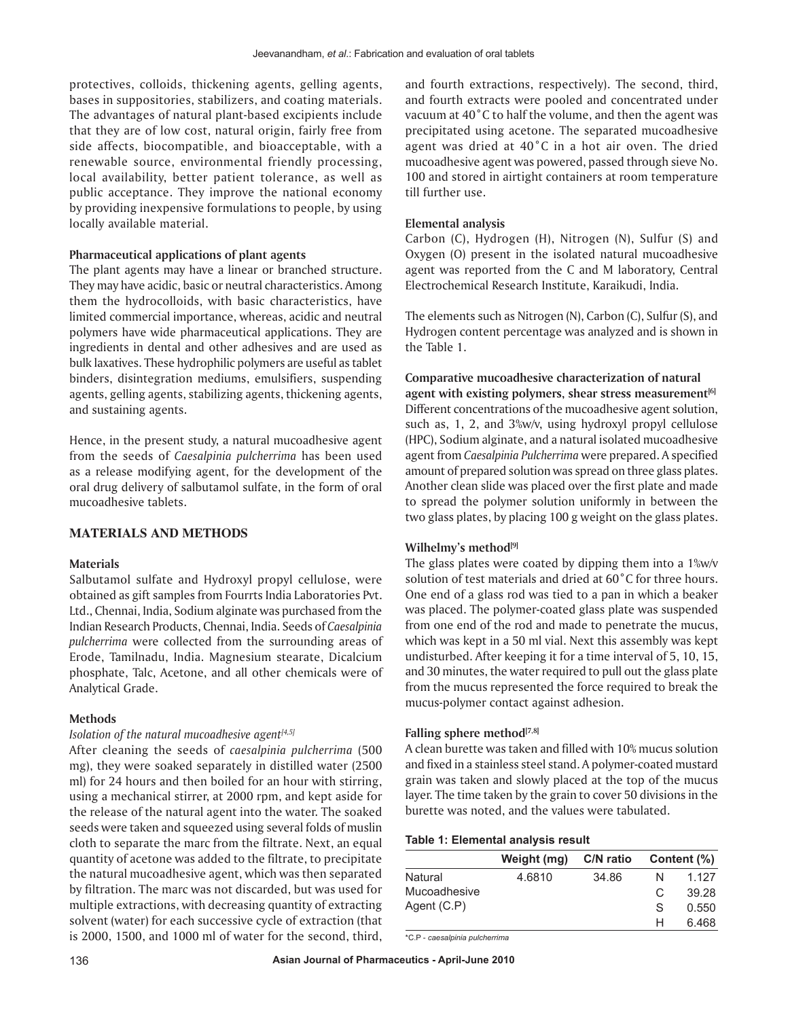protectives, colloids, thickening agents, gelling agents, bases in suppositories, stabilizers, and coating materials. The advantages of natural plant-based excipients include that they are of low cost, natural origin, fairly free from side affects, biocompatible, and bioacceptable, with a renewable source, environmental friendly processing, local availability, better patient tolerance, as well as public acceptance. They improve the national economy by providing inexpensive formulations to people, by using locally available material.

## **Pharmaceutical applications of plant agents**

The plant agents may have a linear or branched structure. They may have acidic, basic or neutral characteristics. Among them the hydrocolloids, with basic characteristics, have limited commercial importance, whereas, acidic and neutral polymers have wide pharmaceutical applications. They are ingredients in dental and other adhesives and are used as bulk laxatives. These hydrophilic polymers are useful as tablet binders, disintegration mediums, emulsifiers, suspending agents, gelling agents, stabilizing agents, thickening agents, and sustaining agents.

Hence, in the present study, a natural mucoadhesive agent from the seeds of *Caesalpinia pulcherrima* has been used as a release modifying agent, for the development of the oral drug delivery of salbutamol sulfate, in the form of oral mucoadhesive tablets.

## **MATERIALS AND METHODS**

## **Materials**

Salbutamol sulfate and Hydroxyl propyl cellulose, were obtained as gift samples from Fourrts India Laboratories Pvt. Ltd., Chennai, India, Sodium alginate was purchased from the Indian Research Products, Chennai, India. Seeds of *Caesalpinia pulcherrima* were collected from the surrounding areas of Erode, Tamilnadu, India. Magnesium stearate, Dicalcium phosphate, Talc, Acetone, and all other chemicals were of Analytical Grade.

#### **Methods**

## *Isolation of the natural mucoadhesive agent[4,5]*

After cleaning the seeds of *caesalpinia pulcherrima* (500 mg), they were soaked separately in distilled water (2500 ml) for 24 hours and then boiled for an hour with stirring, using a mechanical stirrer, at 2000 rpm, and kept aside for the release of the natural agent into the water. The soaked seeds were taken and squeezed using several folds of muslin cloth to separate the marc from the filtrate. Next, an equal quantity of acetone was added to the filtrate, to precipitate the natural mucoadhesive agent, which was then separated by filtration. The marc was not discarded, but was used for multiple extractions, with decreasing quantity of extracting solvent (water) for each successive cycle of extraction (that is 2000, 1500, and 1000 ml of water for the second, third, and fourth extractions, respectively). The second, third, and fourth extracts were pooled and concentrated under vacuum at 40˚C to half the volume, and then the agent was precipitated using acetone. The separated mucoadhesive agent was dried at 40˚C in a hot air oven. The dried mucoadhesive agent was powered, passed through sieve No. 100 and stored in airtight containers at room temperature till further use.

#### **Elemental analysis**

Carbon (C), Hydrogen (H), Nitrogen (N), Sulfur (S) and Oxygen (O) present in the isolated natural mucoadhesive agent was reported from the C and M laboratory, Central Electrochemical Research Institute, Karaikudi, India.

The elements such as Nitrogen (N), Carbon (C), Sulfur (S), and Hydrogen content percentage was analyzed and is shown in the Table 1.

# **Comparative mucoadhesive characterization of natural**

**agent with existing polymers, shear stress measurement[6]** Different concentrations of the mucoadhesive agent solution, such as, 1, 2, and 3%w/v, using hydroxyl propyl cellulose (HPC), Sodium alginate, and a natural isolated mucoadhesive agent from *Caesalpinia Pulcherrima* were prepared. A specified amount of prepared solution was spread on three glass plates. Another clean slide was placed over the first plate and made to spread the polymer solution uniformly in between the two glass plates, by placing 100 g weight on the glass plates.

#### **Wilhelmy's method[9]**

The glass plates were coated by dipping them into a 1%w/v solution of test materials and dried at 60˚C for three hours. One end of a glass rod was tied to a pan in which a beaker was placed. The polymer-coated glass plate was suspended from one end of the rod and made to penetrate the mucus, which was kept in a 50 ml vial. Next this assembly was kept undisturbed. After keeping it for a time interval of 5, 10, 15, and 30 minutes, the water required to pull out the glass plate from the mucus represented the force required to break the mucus-polymer contact against adhesion.

#### **Falling sphere method[7,8]**

A clean burette was taken and filled with 10% mucus solution and fixed in a stainless steel stand. A polymer-coated mustard grain was taken and slowly placed at the top of the mucus layer. The time taken by the grain to cover 50 divisions in the burette was noted, and the values were tabulated.

## **Table 1: Elemental analysis result**

|              | Weight (mg) | C/N ratio |    | Content (%) |
|--------------|-------------|-----------|----|-------------|
| Natural      | 4.6810      | 34.86     | N  | 1.127       |
| Mucoadhesive |             |           | C. | 39.28       |
| Agent (C.P)  |             |           | S  | 0.550       |
|              |             |           | н  | 6.468       |

\*C.P - *caesalpinia pulcherrima*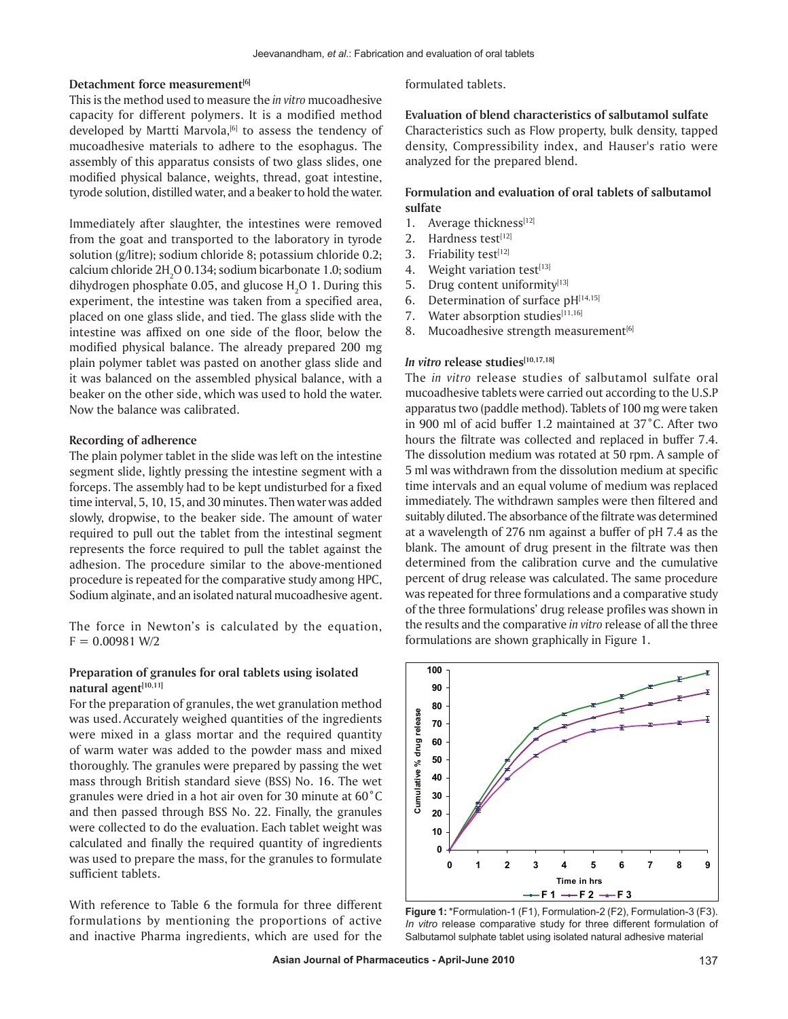#### **Detachment force measurement[6]**

This is the method used to measure the *in vitro* mucoadhesive capacity for different polymers. It is a modified method developed by Martti Marvola,<sup>[6]</sup> to assess the tendency of mucoadhesive materials to adhere to the esophagus. The assembly of this apparatus consists of two glass slides, one modified physical balance, weights, thread, goat intestine, tyrode solution, distilled water, and a beaker to hold the water.

Immediately after slaughter, the intestines were removed from the goat and transported to the laboratory in tyrode solution (g/litre); sodium chloride 8; potassium chloride 0.2; calcium chloride  $2H_2O$  0.134; sodium bicarbonate 1.0; sodium dihydrogen phosphate 0.05, and glucose  $H_2O$  1. During this experiment, the intestine was taken from a specified area, placed on one glass slide, and tied. The glass slide with the intestine was affixed on one side of the floor, below the modified physical balance. The already prepared 200 mg plain polymer tablet was pasted on another glass slide and it was balanced on the assembled physical balance, with a beaker on the other side, which was used to hold the water. Now the balance was calibrated.

### **Recording of adherence**

The plain polymer tablet in the slide was left on the intestine segment slide, lightly pressing the intestine segment with a forceps. The assembly had to be kept undisturbed for a fixed time interval, 5, 10, 15, and 30 minutes. Then water was added slowly, dropwise, to the beaker side. The amount of water required to pull out the tablet from the intestinal segment represents the force required to pull the tablet against the adhesion. The procedure similar to the above-mentioned procedure is repeated for the comparative study among HPC, Sodium alginate, and an isolated natural mucoadhesive agent.

The force in Newton's is calculated by the equation,  $F = 0.00981 W/2$ 

## **Preparation of granules for oral tablets using isolated natural agent[10,11]**

For the preparation of granules, the wet granulation method was used. Accurately weighed quantities of the ingredients were mixed in a glass mortar and the required quantity of warm water was added to the powder mass and mixed thoroughly. The granules were prepared by passing the wet mass through British standard sieve (BSS) No. 16. The wet granules were dried in a hot air oven for 30 minute at 60˚C and then passed through BSS No. 22. Finally, the granules were collected to do the evaluation. Each tablet weight was calculated and finally the required quantity of ingredients was used to prepare the mass, for the granules to formulate sufficient tablets.

With reference to Table 6 the formula for three different formulations by mentioning the proportions of active and inactive Pharma ingredients, which are used for the

formulated tablets.

**Evaluation of blend characteristics of salbutamol sulfate** Characteristics such as Flow property, bulk density, tapped density, Compressibility index, and Hauser's ratio were analyzed for the prepared blend.

## **Formulation and evaluation of oral tablets of salbutamol sulfate**

- 1. Average thickness[12]
- 2. Hardness test $[12]$
- 3. Friability test $[12]$
- 4. Weight variation test[13]
- 5. Drug content uniformity<sup>[13]</sup>
- 6. Determination of surface  $pH[14,15]$
- 7. Water absorption studies $[11,16]$
- 8. Mucoadhesive strength measurement $[6]$

# *In vitro release studies[10,17,18]*

The *in vitro* release studies of salbutamol sulfate oral mucoadhesive tablets were carried out according to the U.S.P apparatus two (paddle method). Tablets of 100 mg were taken in 900 ml of acid buffer 1.2 maintained at 37˚C. After two hours the filtrate was collected and replaced in buffer 7.4. The dissolution medium was rotated at 50 rpm. A sample of 5 ml was withdrawn from the dissolution medium at specific time intervals and an equal volume of medium was replaced immediately. The withdrawn samples were then filtered and suitably diluted. The absorbance of the filtrate was determined at a wavelength of 276 nm against a buffer of pH 7.4 as the blank. The amount of drug present in the filtrate was then determined from the calibration curve and the cumulative percent of drug release was calculated. The same procedure was repeated for three formulations and a comparative study of the three formulations' drug release profiles was shown in the results and the comparative *in vitro* release of all the three formulations are shown graphically in Figure 1.



**Figure 1:** \*Formulation-1 (F1), Formulation-2 (F2), Formulation-3 (F3). *In vitro* release comparative study for three different formulation of Salbutamol sulphate tablet using isolated natural adhesive material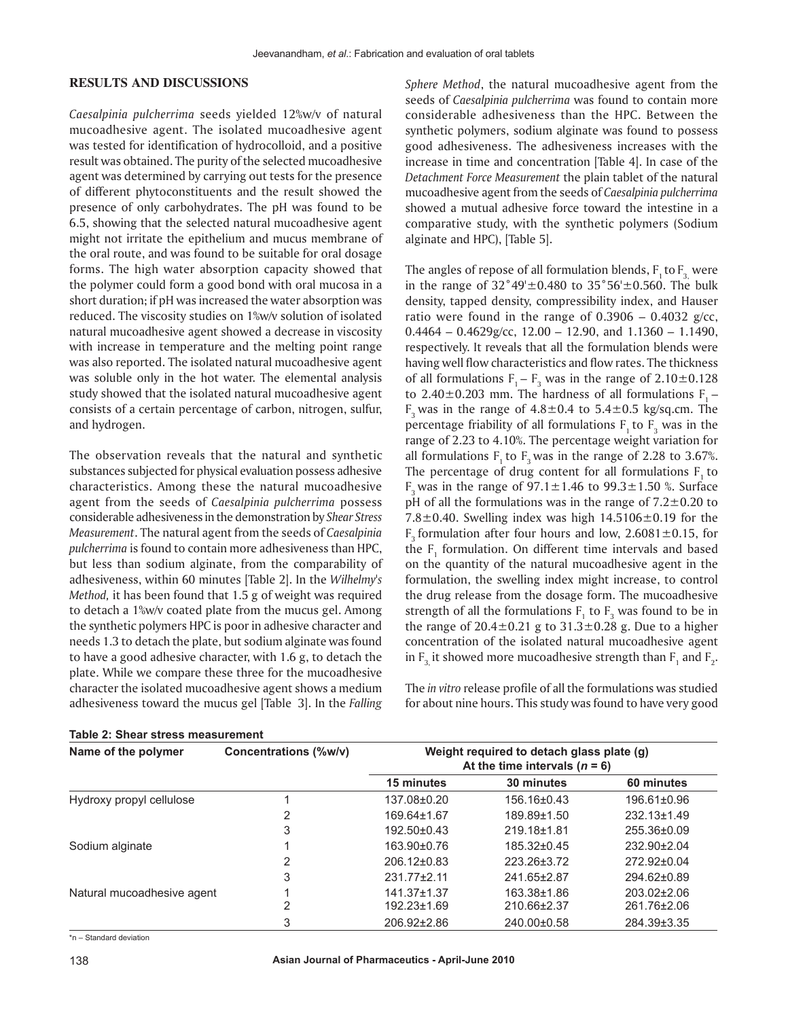## **RESULTS AND DISCUSSIONS**

*Caesalpinia pulcherrima* seeds yielded 12%w/v of natural mucoadhesive agent. The isolated mucoadhesive agent was tested for identification of hydrocolloid, and a positive result was obtained. The purity of the selected mucoadhesive agent was determined by carrying out tests for the presence of different phytoconstituents and the result showed the presence of only carbohydrates. The pH was found to be 6.5, showing that the selected natural mucoadhesive agent might not irritate the epithelium and mucus membrane of the oral route, and was found to be suitable for oral dosage forms. The high water absorption capacity showed that the polymer could form a good bond with oral mucosa in a short duration; if pH was increased the water absorption was reduced. The viscosity studies on 1%w/v solution of isolated natural mucoadhesive agent showed a decrease in viscosity with increase in temperature and the melting point range was also reported. The isolated natural mucoadhesive agent was soluble only in the hot water. The elemental analysis study showed that the isolated natural mucoadhesive agent consists of a certain percentage of carbon, nitrogen, sulfur, and hydrogen.

The observation reveals that the natural and synthetic substances subjected for physical evaluation possess adhesive characteristics. Among these the natural mucoadhesive agent from the seeds of *Caesalpinia pulcherrima* possess considerable adhesiveness in the demonstration by *Shear Stress Measurement*. The natural agent from the seeds of *Caesalpinia pulcherrima* is found to contain more adhesiveness than HPC, but less than sodium alginate, from the comparability of adhesiveness, within 60 minutes [Table 2]. In the *Wilhelmy's Method,* it has been found that 1.5 g of weight was required to detach a 1%w/v coated plate from the mucus gel. Among the synthetic polymers HPC is poor in adhesive character and needs 1.3 to detach the plate, but sodium alginate was found to have a good adhesive character, with 1.6 g, to detach the plate. While we compare these three for the mucoadhesive character the isolated mucoadhesive agent shows a medium adhesiveness toward the mucus gel [Table 3]. In the *Falling* 

*Sphere Method*, the natural mucoadhesive agent from the seeds of *Caesalpinia pulcherrima* was found to contain more considerable adhesiveness than the HPC. Between the synthetic polymers, sodium alginate was found to possess good adhesiveness. The adhesiveness increases with the increase in time and concentration [Table 4]. In case of the *Detachment Force Measurement* the plain tablet of the natural mucoadhesive agent from the seeds of *Caesalpinia pulcherrima* showed a mutual adhesive force toward the intestine in a comparative study, with the synthetic polymers (Sodium alginate and HPC), [Table 5].

The angles of repose of all formulation blends,  $F_1$  to  $F_2$  were in the range of  $32^{\circ}49' \pm 0.480$  to  $35^{\circ}56' \pm 0.560$ . The bulk density, tapped density, compressibility index, and Hauser ratio were found in the range of  $0.3906 - 0.4032$  g/cc,  $0.4464 - 0.4629$  g/cc,  $12.00 - 12.90$ , and  $1.1360 - 1.1490$ , respectively. It reveals that all the formulation blends were having well flow characteristics and flow rates. The thickness of all formulations  $F_1 - F_3$  was in the range of  $2.10 \pm 0.128$ to 2.40 $\pm$ 0.203 mm. The hardness of all formulations F<sub>1</sub> –  $F_3$  was in the range of  $4.8 \pm 0.4$  to  $5.4 \pm 0.5$  kg/sq.cm. The percentage friability of all formulations  $F_1$  to  $F_3$  was in the range of 2.23 to 4.10%. The percentage weight variation for all formulations  $F_1$  to  $F_2$  was in the range of 2.28 to 3.67%. The percentage of drug content for all formulations  $F<sub>1</sub>$  to F<sub>2</sub> was in the range of  $97.1 \pm 1.46$  to  $99.3 \pm 1.50$  %. Surface pH of all the formulations was in the range of  $7.2 \pm 0.20$  to 7.8 $\pm$ 0.40. Swelling index was high 14.5106 $\pm$ 0.19 for the F<sub>2</sub> formulation after four hours and low,  $2.6081 \pm 0.15$ , for the  $F_1$  formulation. On different time intervals and based on the quantity of the natural mucoadhesive agent in the formulation, the swelling index might increase, to control the drug release from the dosage form. The mucoadhesive strength of all the formulations  $F_1$  to  $F_3$  was found to be in the range of  $20.4 \pm 0.21$  g to  $31.3 \pm 0.28$  g. Due to a higher concentration of the isolated natural mucoadhesive agent in  $F_{3}$  it showed more mucoadhesive strength than  $F_{1}$  and  $F_{2}$ .

The *in vitro* release profile of all the formulations was studied for about nine hours. This study was found to have very good

| Name of the polymer        | Concentrations (%w/v) | Weight required to detach glass plate (g)<br>At the time intervals $(n = 6)$ |             |                   |  |
|----------------------------|-----------------------|------------------------------------------------------------------------------|-------------|-------------------|--|
|                            |                       | 15 minutes                                                                   | 30 minutes  | 60 minutes        |  |
| Hydroxy propyl cellulose   |                       | 137.08±0.20                                                                  | 156.16±0.43 | 196.61±0.96       |  |
|                            | 2                     | 169.64±1.67                                                                  | 189.89±1.50 | $232.13 \pm 1.49$ |  |
|                            | 3                     | $192.50 \pm 0.43$                                                            | 219.18±1.81 | 255.36±0.09       |  |
| Sodium alginate            |                       | 163.90±0.76                                                                  | 185.32±0.45 | 232.90±2.04       |  |
|                            | 2                     | 206.12±0.83                                                                  | 223.26±3.72 | 272.92±0.04       |  |
|                            | 3                     | $231.77 \pm 2.11$                                                            | 241.65±2.87 | 294.62±0.89       |  |
| Natural mucoadhesive agent |                       | $141.37 \pm 1.37$                                                            | 163.38±1.86 | 203.02±2.06       |  |
|                            | 2                     | $192.23 \pm 1.69$                                                            | 210.66±2.37 | 261.76±2.06       |  |
|                            | 3                     | 206.92±2.86                                                                  | 240.00±0.58 | 284.39±3.35       |  |

**Table 2: Shear stress measurement**

\*n – Standard deviation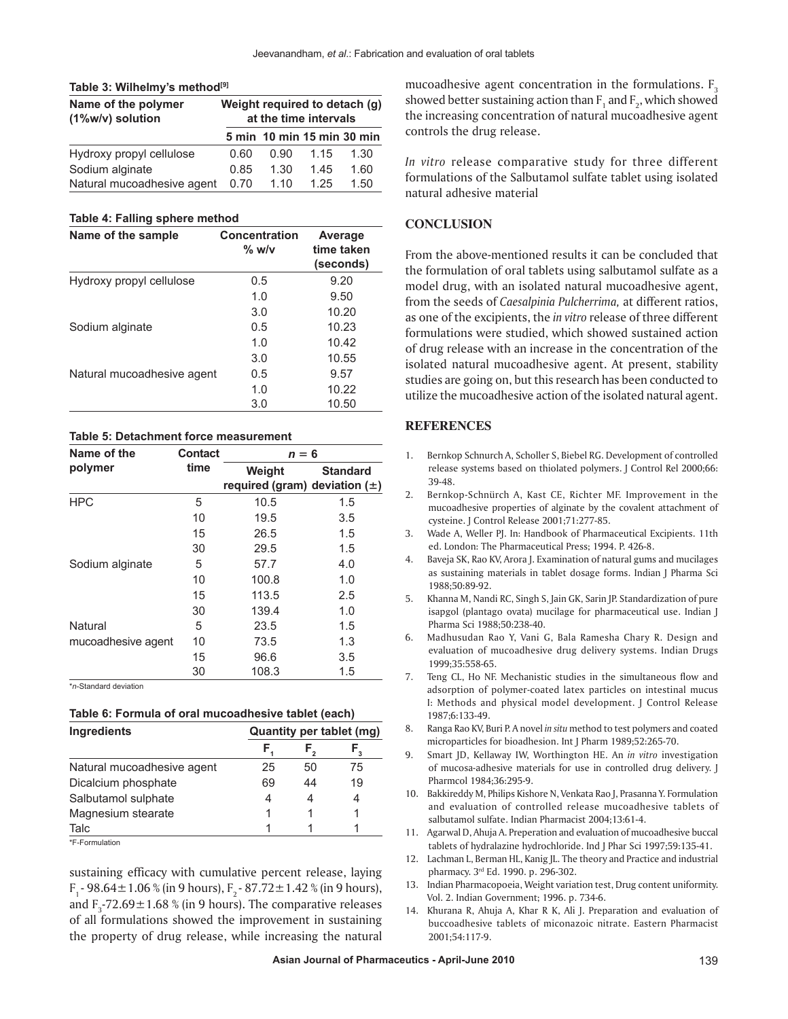| Table 3: Wilhelmy's method <sup>[9]</sup> |  |
|-------------------------------------------|--|
|-------------------------------------------|--|

| Name of the polymer<br>(1%w/v) solution |      | Weight required to detach (g)<br>at the time intervals |      |      |  |
|-----------------------------------------|------|--------------------------------------------------------|------|------|--|
|                                         |      | 5 min 10 min 15 min 30 min                             |      |      |  |
| Hydroxy propyl cellulose                | 0.60 | 0.90                                                   | 1.15 | 1.30 |  |
| Sodium alginate                         | 0.85 | 1.30                                                   | 1.45 | 1.60 |  |
| Natural mucoadhesive agent              | 0.70 | 1.10                                                   | 1.25 | 1.50 |  |

#### **Table 4: Falling sphere method**

| Name of the sample         | Concentration<br>$\%$ w/v | Average<br>time taken<br>(seconds) |
|----------------------------|---------------------------|------------------------------------|
| Hydroxy propyl cellulose   | 0.5                       | 9.20                               |
|                            | 1.0                       | 9.50                               |
|                            | 3.0                       | 10.20                              |
| Sodium alginate            | 0.5                       | 10.23                              |
|                            | 1.0                       | 10.42                              |
|                            | 3.0                       | 10.55                              |
| Natural mucoadhesive agent | 0.5                       | 9.57                               |
|                            | 1.0                       | 10.22                              |
|                            | 3.0                       | 10.50                              |

#### **Table 5: Detachment force measurement**

| Name of the        | Contact | $n = 6$                                     |                 |  |
|--------------------|---------|---------------------------------------------|-----------------|--|
| polymer            | time    | Weight<br>required (gram) deviation $(\pm)$ | <b>Standard</b> |  |
| <b>HPC</b>         | 5       | 10.5                                        | 1.5             |  |
|                    | 10      | 19.5                                        | 3.5             |  |
|                    | 15      | 26.5                                        | 1.5             |  |
|                    | 30      | 29.5                                        | 1.5             |  |
| Sodium alginate    | 5       | 57.7                                        | 4.0             |  |
|                    | 10      | 100.8                                       | 1.0             |  |
|                    | 15      | 113.5                                       | 2.5             |  |
|                    | 30      | 139.4                                       | 1.0             |  |
| Natural            | 5       | 23.5                                        | 1.5             |  |
| mucoadhesive agent | 10      | 73.5                                        | 1.3             |  |
|                    | 15      | 96.6                                        | 3.5             |  |
|                    | 30      | 108.3                                       | 1.5             |  |

\**n*-Standard deviation

| Ingredients                |    | Quantity per tablet (mg) |                   |  |
|----------------------------|----|--------------------------|-------------------|--|
|                            | F, |                          | $\mathsf{F}_{_3}$ |  |
| Natural mucoadhesive agent | 25 | 50                       | 75                |  |
| Dicalcium phosphate        | 69 | 44                       | 19                |  |
| Salbutamol sulphate        | 4  | 4                        | 4                 |  |
| Magnesium stearate         |    |                          |                   |  |
| Talc                       |    |                          |                   |  |
| *F-Formulation             |    |                          |                   |  |

sustaining efficacy with cumulative percent release, laying F<sub>1</sub> - 98.64  $\pm$  1.06 % (in 9 hours), F<sub>2</sub> - 87.72  $\pm$  1.42 % (in 9 hours), and  $F_3$ -72.69 $\pm$ 1.68 % (in 9 hours). The comparative releases of all formulations showed the improvement in sustaining the property of drug release, while increasing the natural

mucoadhesive agent concentration in the formulations.  $F_3$ showed better sustaining action than  $\mathsf{F}_1$  and  $\mathsf{F}_2$ , which showed the increasing concentration of natural mucoadhesive agent controls the drug release.

*In vitro* release comparative study for three different formulations of the Salbutamol sulfate tablet using isolated natural adhesive material

## **CONCLUSION**

From the above-mentioned results it can be concluded that the formulation of oral tablets using salbutamol sulfate as a model drug, with an isolated natural mucoadhesive agent, from the seeds of *Caesalpinia Pulcherrima,* at different ratios, as one of the excipients, the *in vitro* release of three different formulations were studied, which showed sustained action of drug release with an increase in the concentration of the isolated natural mucoadhesive agent. At present, stability studies are going on, but this research has been conducted to utilize the mucoadhesive action of the isolated natural agent.

## **REFERENCES**

- 1. Bernkop Schnurch A, Scholler S, Biebel RG. Development of controlled release systems based on thiolated polymers. J Control Rel 2000;66: 39-48.
- 2. Bernkop-Schnürch A, Kast CE, Richter MF. Improvement in the mucoadhesive properties of alginate by the covalent attachment of cysteine. J Control Release 2001;71:277-85.
- 3. Wade A, Weller PJ. In: Handbook of Pharmaceutical Excipients. 11th ed. London: The Pharmaceutical Press; 1994. P. 426-8.
- 4. Baveja SK, Rao KV, Arora J. Examination of natural gums and mucilages as sustaining materials in tablet dosage forms. Indian J Pharma Sci 1988;50:89-92.
- 5. Khanna M, Nandi RC, Singh S, Jain GK, Sarin JP. Standardization of pure isapgol (plantago ovata) mucilage for pharmaceutical use. Indian J Pharma Sci 1988;50:238-40.
- 6. Madhusudan Rao Y, Vani G, Bala Ramesha Chary R. Design and evaluation of mucoadhesive drug delivery systems. Indian Drugs 1999;35:558-65.
- 7. Teng CL, Ho NF. Mechanistic studies in the simultaneous flow and adsorption of polymer-coated latex particles on intestinal mucus I: Methods and physical model development. J Control Release 1987;6:133-49.
- 8. Ranga Rao KV, Buri P. A novel *in situ* method to test polymers and coated microparticles for bioadhesion. Int J Pharm 1989;52:265-70.
- 9. Smart JD, Kellaway IW, Worthington HE. An *in vitro* investigation of mucosa-adhesive materials for use in controlled drug delivery. J Pharmcol 1984;36:295-9.
- 10. Bakkireddy M, Philips Kishore N, Venkata Rao J, Prasanna Y. Formulation and evaluation of controlled release mucoadhesive tablets of salbutamol sulfate. Indian Pharmacist 2004;13:61-4.
- 11. Agarwal D, Ahuja A. Preperation and evaluation of mucoadhesive buccal tablets of hydralazine hydrochloride. Ind J Phar Sci 1997;59:135-41.
- 12. Lachman L, Berman HL, Kanig JL. The theory and Practice and industrial pharmacy. 3rd Ed. 1990. p. 296-302.
- 13. Indian Pharmacopoeia, Weight variation test, Drug content uniformity. Vol. 2. Indian Government; 1996. p. 734-6.
- 14. Khurana R, Ahuja A, Khar R K, Ali J. Preparation and evaluation of buccoadhesive tablets of miconazoic nitrate. Eastern Pharmacist 2001;54:117-9.